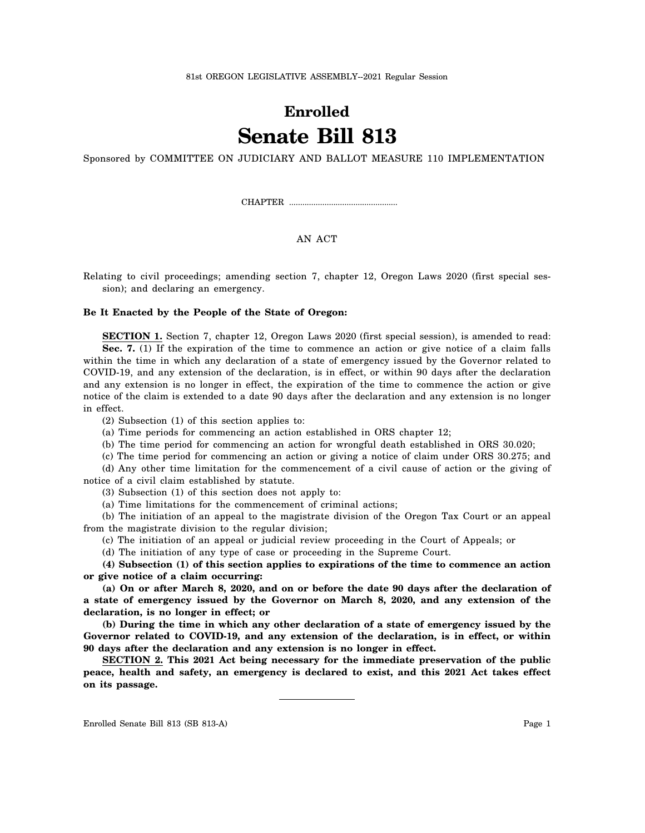## **Enrolled Senate Bill 813**

Sponsored by COMMITTEE ON JUDICIARY AND BALLOT MEASURE 110 IMPLEMENTATION

CHAPTER .................................................

## AN ACT

Relating to civil proceedings; amending section 7, chapter 12, Oregon Laws 2020 (first special session); and declaring an emergency.

## **Be It Enacted by the People of the State of Oregon:**

**SECTION 1.** Section 7, chapter 12, Oregon Laws 2020 (first special session), is amended to read: **Sec. 7.** (1) If the expiration of the time to commence an action or give notice of a claim falls within the time in which any declaration of a state of emergency issued by the Governor related to COVID-19, and any extension of the declaration, is in effect, or within 90 days after the declaration and any extension is no longer in effect, the expiration of the time to commence the action or give notice of the claim is extended to a date 90 days after the declaration and any extension is no longer in effect.

(2) Subsection (1) of this section applies to:

(a) Time periods for commencing an action established in ORS chapter 12;

(b) The time period for commencing an action for wrongful death established in ORS 30.020;

(c) The time period for commencing an action or giving a notice of claim under ORS 30.275; and

(d) Any other time limitation for the commencement of a civil cause of action or the giving of notice of a civil claim established by statute.

(3) Subsection (1) of this section does not apply to:

(a) Time limitations for the commencement of criminal actions;

(b) The initiation of an appeal to the magistrate division of the Oregon Tax Court or an appeal from the magistrate division to the regular division;

(c) The initiation of an appeal or judicial review proceeding in the Court of Appeals; or

(d) The initiation of any type of case or proceeding in the Supreme Court.

**(4) Subsection (1) of this section applies to expirations of the time to commence an action or give notice of a claim occurring:**

**(a) On or after March 8, 2020, and on or before the date 90 days after the declaration of a state of emergency issued by the Governor on March 8, 2020, and any extension of the declaration, is no longer in effect; or**

**(b) During the time in which any other declaration of a state of emergency issued by the Governor related to COVID-19, and any extension of the declaration, is in effect, or within 90 days after the declaration and any extension is no longer in effect.**

**SECTION 2. This 2021 Act being necessary for the immediate preservation of the public peace, health and safety, an emergency is declared to exist, and this 2021 Act takes effect on its passage.**

Enrolled Senate Bill 813 (SB 813-A) Page 1